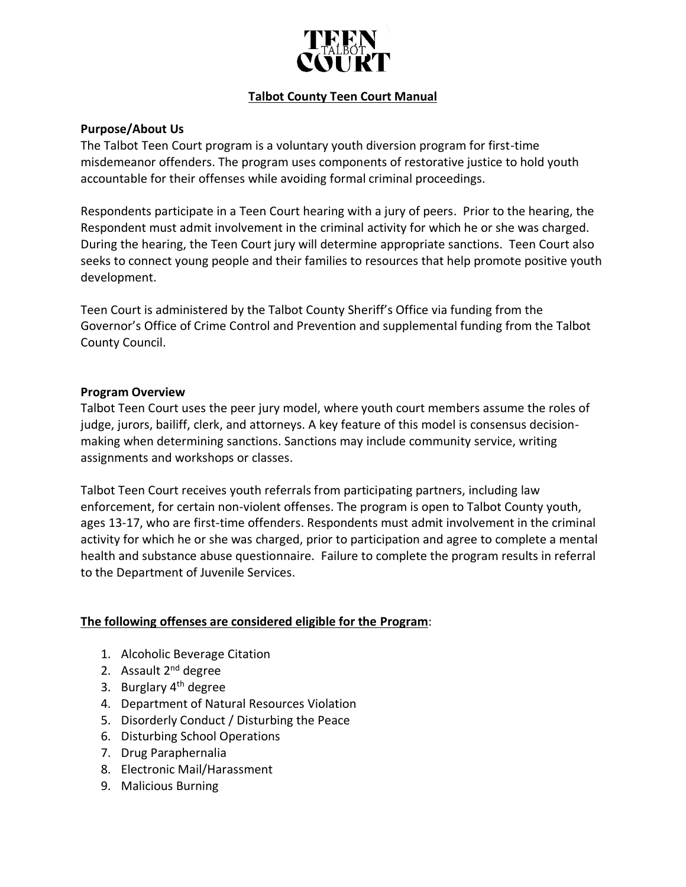

# **Talbot County Teen Court Manual**

## **Purpose/About Us**

The Talbot Teen Court program is a voluntary youth diversion program for first-time misdemeanor offenders. The program uses components of restorative justice to hold youth accountable for their offenses while avoiding formal criminal proceedings.

Respondents participate in a Teen Court hearing with a jury of peers. Prior to the hearing, the Respondent must admit involvement in the criminal activity for which he or she was charged. During the hearing, the Teen Court jury will determine appropriate sanctions. Teen Court also seeks to connect young people and their families to resources that help promote positive youth development.

Teen Court is administered by the Talbot County Sheriff's Office via funding from the Governor's Office of Crime Control and Prevention and supplemental funding from the Talbot County Council.

#### **Program Overview**

Talbot Teen Court uses the peer jury model, where youth court members assume the roles of judge, jurors, bailiff, clerk, and attorneys. A key feature of this model is consensus decisionmaking when determining sanctions. Sanctions may include community service, writing assignments and workshops or classes.

Talbot Teen Court receives youth referrals from participating partners, including law enforcement, for certain non-violent offenses. The program is open to Talbot County youth, ages 13-17, who are first-time offenders. Respondents must admit involvement in the criminal activity for which he or she was charged, prior to participation and agree to complete a mental health and substance abuse questionnaire. Failure to complete the program results in referral to the Department of Juvenile Services.

### **The following offenses are considered eligible for the Program**:

- 1. Alcoholic Beverage Citation
- 2. Assault 2<sup>nd</sup> degree
- 3. Burglary 4<sup>th</sup> degree
- 4. Department of Natural Resources Violation
- 5. Disorderly Conduct / Disturbing the Peace
- 6. Disturbing School Operations
- 7. Drug Paraphernalia
- 8. Electronic Mail/Harassment
- 9. Malicious Burning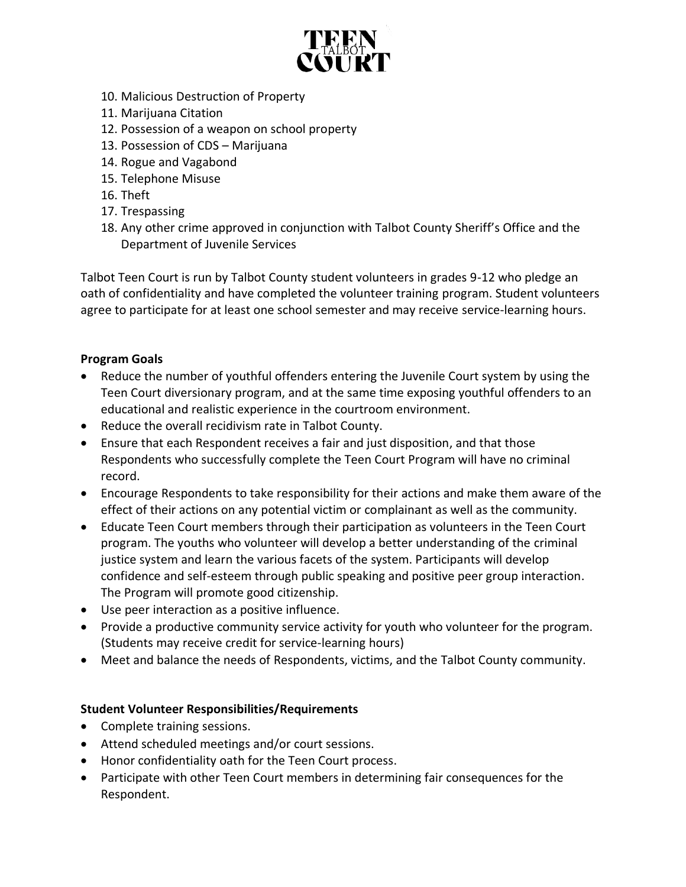

- 10. Malicious Destruction of Property
- 11. Marijuana Citation
- 12. Possession of a weapon on school property
- 13. Possession of CDS Marijuana
- 14. Rogue and Vagabond
- 15. Telephone Misuse
- 16. Theft
- 17. Trespassing
- 18. Any other crime approved in conjunction with Talbot County Sheriff's Office and the Department of Juvenile Services

Talbot Teen Court is run by Talbot County student volunteers in grades 9-12 who pledge an oath of confidentiality and have completed the volunteer training program. Student volunteers agree to participate for at least one school semester and may receive service-learning hours.

# **Program Goals**

- Reduce the number of youthful offenders entering the Juvenile Court system by using the Teen Court diversionary program, and at the same time exposing youthful offenders to an educational and realistic experience in the courtroom environment.
- Reduce the overall recidivism rate in Talbot County.
- Ensure that each Respondent receives a fair and just disposition, and that those Respondents who successfully complete the Teen Court Program will have no criminal record.
- Encourage Respondents to take responsibility for their actions and make them aware of the effect of their actions on any potential victim or complainant as well as the community.
- Educate Teen Court members through their participation as volunteers in the Teen Court program. The youths who volunteer will develop a better understanding of the criminal justice system and learn the various facets of the system. Participants will develop confidence and self-esteem through public speaking and positive peer group interaction. The Program will promote good citizenship.
- Use peer interaction as a positive influence.
- Provide a productive community service activity for youth who volunteer for the program. (Students may receive credit for service-learning hours)
- Meet and balance the needs of Respondents, victims, and the Talbot County community.

# **Student Volunteer Responsibilities/Requirements**

- Complete training sessions.
- Attend scheduled meetings and/or court sessions.
- Honor confidentiality oath for the Teen Court process.
- Participate with other Teen Court members in determining fair consequences for the Respondent.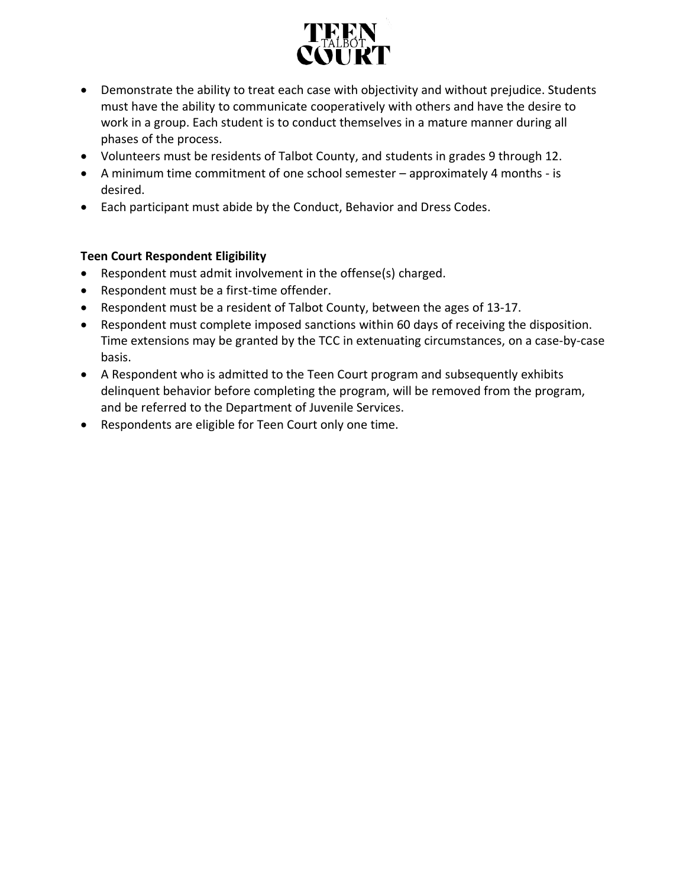

- Demonstrate the ability to treat each case with objectivity and without prejudice. Students must have the ability to communicate cooperatively with others and have the desire to work in a group. Each student is to conduct themselves in a mature manner during all phases of the process.
- Volunteers must be residents of Talbot County, and students in grades 9 through 12.
- A minimum time commitment of one school semester approximately 4 months is desired.
- Each participant must abide by the Conduct, Behavior and Dress Codes.

# **Teen Court Respondent Eligibility**

- Respondent must admit involvement in the offense(s) charged.
- Respondent must be a first-time offender.
- Respondent must be a resident of Talbot County, between the ages of 13-17.
- Respondent must complete imposed sanctions within 60 days of receiving the disposition. Time extensions may be granted by the TCC in extenuating circumstances, on a case-by-case basis.
- A Respondent who is admitted to the Teen Court program and subsequently exhibits delinquent behavior before completing the program, will be removed from the program, and be referred to the Department of Juvenile Services.
- Respondents are eligible for Teen Court only one time.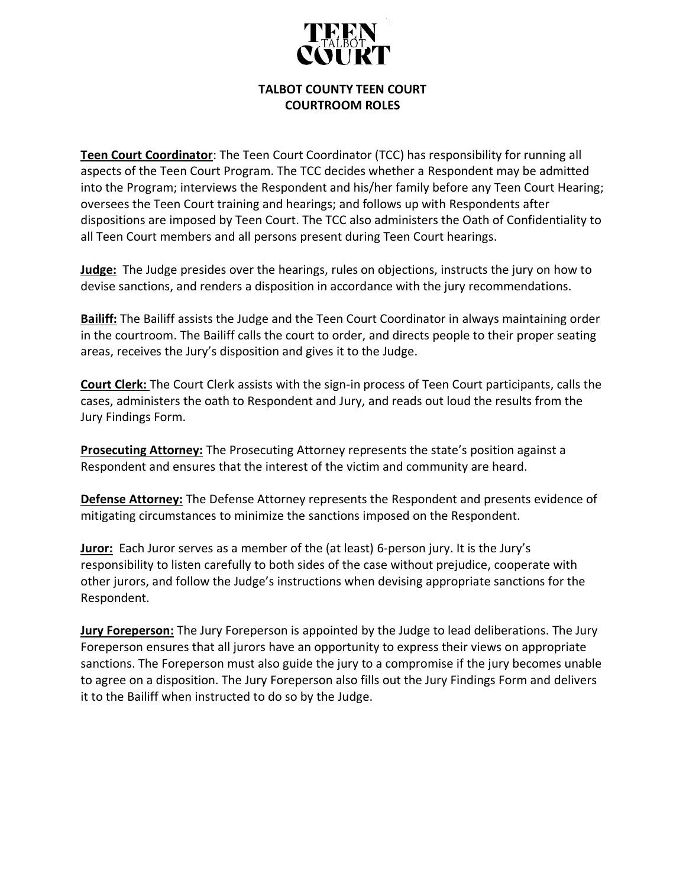

### **TALBOT COUNTY TEEN COURT COURTROOM ROLES**

**Teen Court Coordinator**: The Teen Court Coordinator (TCC) has responsibility for running all aspects of the Teen Court Program. The TCC decides whether a Respondent may be admitted into the Program; interviews the Respondent and his/her family before any Teen Court Hearing; oversees the Teen Court training and hearings; and follows up with Respondents after dispositions are imposed by Teen Court. The TCC also administers the Oath of Confidentiality to all Teen Court members and all persons present during Teen Court hearings.

**Judge:** The Judge presides over the hearings, rules on objections, instructs the jury on how to devise sanctions, and renders a disposition in accordance with the jury recommendations.

**Bailiff:** The Bailiff assists the Judge and the Teen Court Coordinator in always maintaining order in the courtroom. The Bailiff calls the court to order, and directs people to their proper seating areas, receives the Jury's disposition and gives it to the Judge.

**Court Clerk:** The Court Clerk assists with the sign-in process of Teen Court participants, calls the cases, administers the oath to Respondent and Jury, and reads out loud the results from the Jury Findings Form.

**Prosecuting Attorney:** The Prosecuting Attorney represents the state's position against a Respondent and ensures that the interest of the victim and community are heard.

**Defense Attorney:** The Defense Attorney represents the Respondent and presents evidence of mitigating circumstances to minimize the sanctions imposed on the Respondent.

**Juror:** Each Juror serves as a member of the (at least) 6-person jury. It is the Jury's responsibility to listen carefully to both sides of the case without prejudice, cooperate with other jurors, and follow the Judge's instructions when devising appropriate sanctions for the Respondent.

**Jury Foreperson:** The Jury Foreperson is appointed by the Judge to lead deliberations. The Jury Foreperson ensures that all jurors have an opportunity to express their views on appropriate sanctions. The Foreperson must also guide the jury to a compromise if the jury becomes unable to agree on a disposition. The Jury Foreperson also fills out the Jury Findings Form and delivers it to the Bailiff when instructed to do so by the Judge.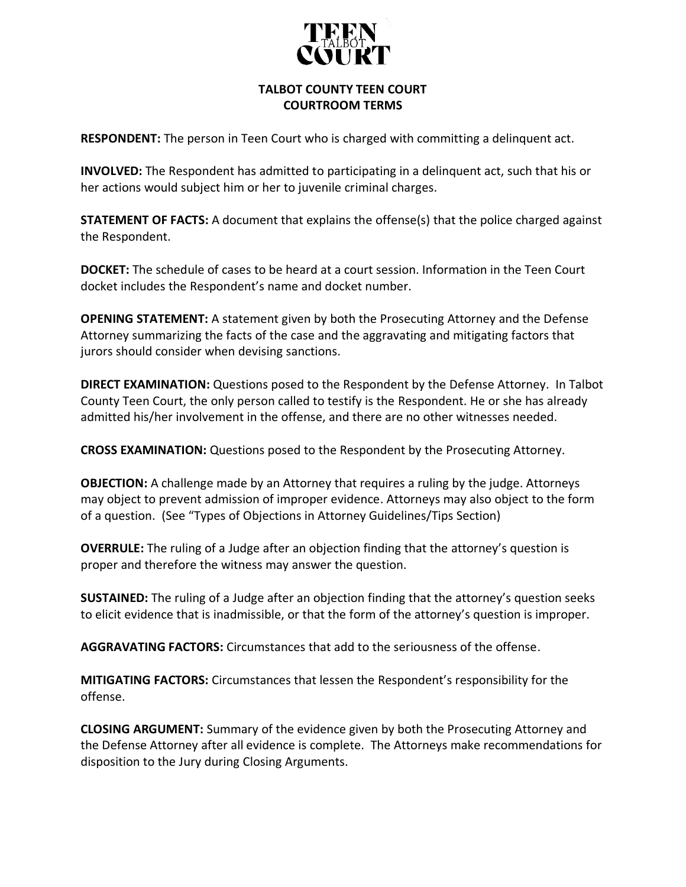

## **TALBOT COUNTY TEEN COURT COURTROOM TERMS**

**RESPONDENT:** The person in Teen Court who is charged with committing a delinquent act.

**INVOLVED:** The Respondent has admitted to participating in a delinquent act, such that his or her actions would subject him or her to juvenile criminal charges.

**STATEMENT OF FACTS:** A document that explains the offense(s) that the police charged against the Respondent.

**DOCKET:** The schedule of cases to be heard at a court session. Information in the Teen Court docket includes the Respondent's name and docket number.

**OPENING STATEMENT:** A statement given by both the Prosecuting Attorney and the Defense Attorney summarizing the facts of the case and the aggravating and mitigating factors that jurors should consider when devising sanctions.

**DIRECT EXAMINATION:** Questions posed to the Respondent by the Defense Attorney. In Talbot County Teen Court, the only person called to testify is the Respondent. He or she has already admitted his/her involvement in the offense, and there are no other witnesses needed.

**CROSS EXAMINATION:** Questions posed to the Respondent by the Prosecuting Attorney.

**OBJECTION:** A challenge made by an Attorney that requires a ruling by the judge. Attorneys may object to prevent admission of improper evidence. Attorneys may also object to the form of a question. (See "Types of Objections in Attorney Guidelines/Tips Section)

**OVERRULE:** The ruling of a Judge after an objection finding that the attorney's question is proper and therefore the witness may answer the question.

**SUSTAINED:** The ruling of a Judge after an objection finding that the attorney's question seeks to elicit evidence that is inadmissible, or that the form of the attorney's question is improper.

**AGGRAVATING FACTORS:** Circumstances that add to the seriousness of the offense.

**MITIGATING FACTORS:** Circumstances that lessen the Respondent's responsibility for the offense.

**CLOSING ARGUMENT:** Summary of the evidence given by both the Prosecuting Attorney and the Defense Attorney after all evidence is complete. The Attorneys make recommendations for disposition to the Jury during Closing Arguments.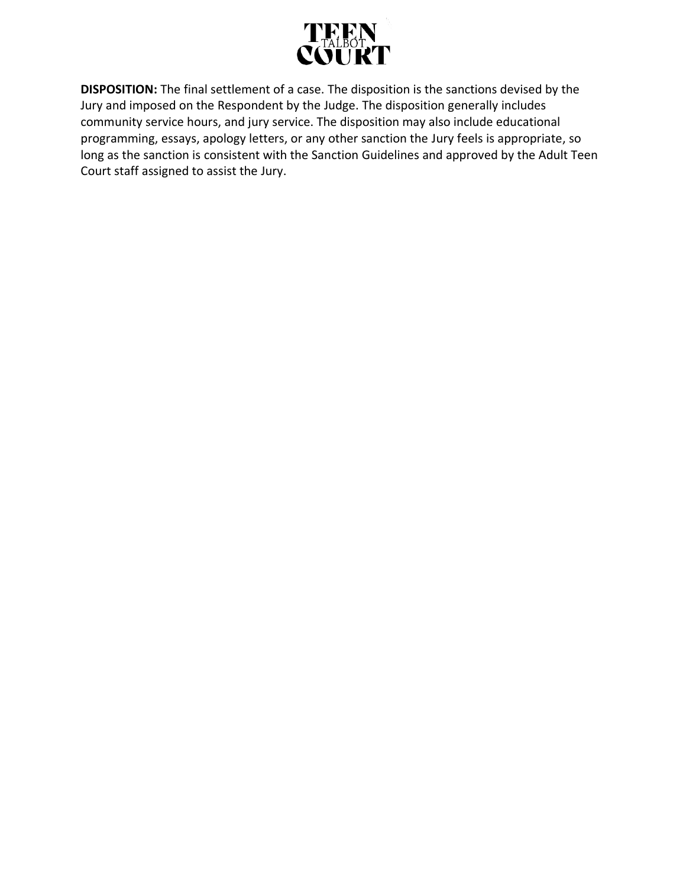

**DISPOSITION:** The final settlement of a case. The disposition is the sanctions devised by the Jury and imposed on the Respondent by the Judge. The disposition generally includes community service hours, and jury service. The disposition may also include educational programming, essays, apology letters, or any other sanction the Jury feels is appropriate, so long as the sanction is consistent with the Sanction Guidelines and approved by the Adult Teen Court staff assigned to assist the Jury.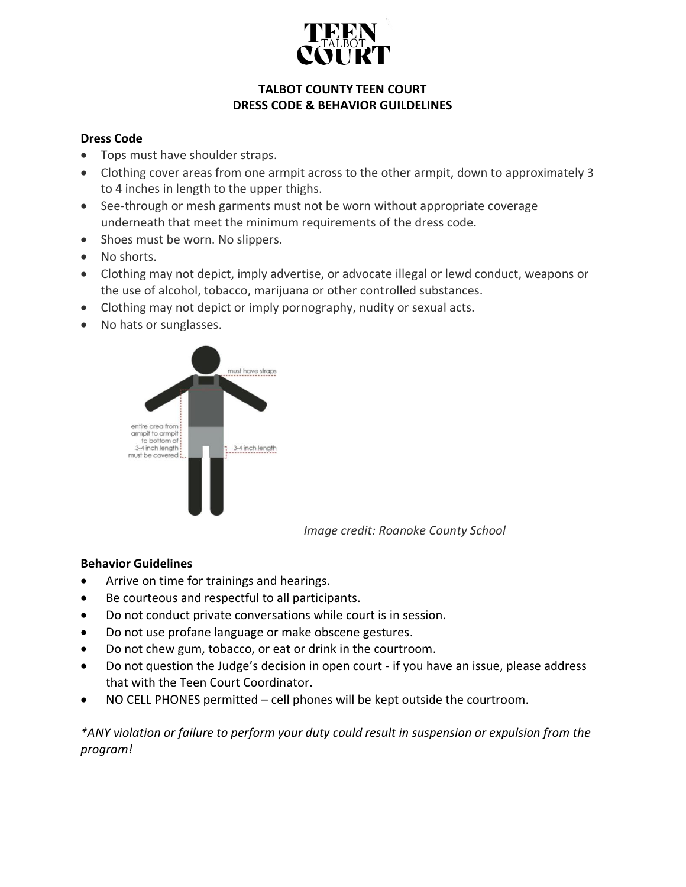

# **TALBOT COUNTY TEEN COURT DRESS CODE & BEHAVIOR GUILDELINES**

# **Dress Code**

- Tops must have shoulder straps.
- Clothing cover areas from one armpit across to the other armpit, down to approximately 3 to 4 inches in length to the upper thighs.
- See-through or mesh garments must not be worn without appropriate coverage underneath that meet the minimum requirements of the dress code.
- Shoes must be worn. No slippers.
- No shorts.
- Clothing may not depict, imply advertise, or advocate illegal or lewd conduct, weapons or the use of alcohol, tobacco, marijuana or other controlled substances.
- Clothing may not depict or imply pornography, nudity or sexual acts.
- No hats or sunglasses.



 *Image credit: Roanoke County School*

# **Behavior Guidelines**

- Arrive on time for trainings and hearings.
- Be courteous and respectful to all participants.
- Do not conduct private conversations while court is in session.
- Do not use profane language or make obscene gestures.
- Do not chew gum, tobacco, or eat or drink in the courtroom.
- Do not question the Judge's decision in open court if you have an issue, please address that with the Teen Court Coordinator.
- NO CELL PHONES permitted cell phones will be kept outside the courtroom.

*\*ANY violation or failure to perform your duty could result in suspension or expulsion from the program!*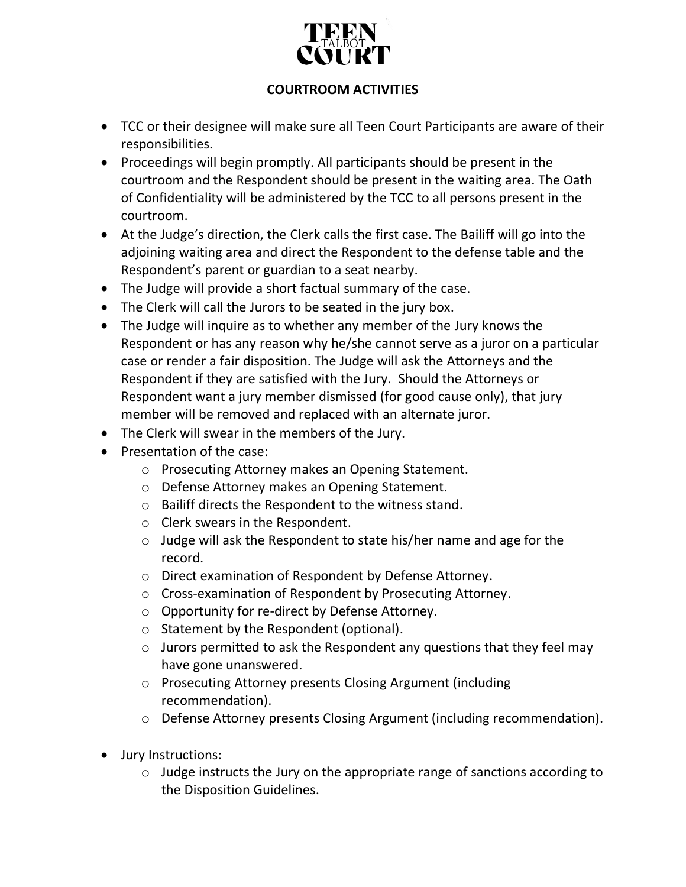

# **COURTROOM ACTIVITIES**

- TCC or their designee will make sure all Teen Court Participants are aware of their responsibilities.
- Proceedings will begin promptly. All participants should be present in the courtroom and the Respondent should be present in the waiting area. The Oath of Confidentiality will be administered by the TCC to all persons present in the courtroom.
- At the Judge's direction, the Clerk calls the first case. The Bailiff will go into the adjoining waiting area and direct the Respondent to the defense table and the Respondent's parent or guardian to a seat nearby.
- The Judge will provide a short factual summary of the case.
- The Clerk will call the Jurors to be seated in the jury box.
- The Judge will inquire as to whether any member of the Jury knows the Respondent or has any reason why he/she cannot serve as a juror on a particular case or render a fair disposition. The Judge will ask the Attorneys and the Respondent if they are satisfied with the Jury. Should the Attorneys or Respondent want a jury member dismissed (for good cause only), that jury member will be removed and replaced with an alternate juror.
- The Clerk will swear in the members of the Jury.
- Presentation of the case:
	- o Prosecuting Attorney makes an Opening Statement.
	- o Defense Attorney makes an Opening Statement.
	- o Bailiff directs the Respondent to the witness stand.
	- o Clerk swears in the Respondent.
	- o Judge will ask the Respondent to state his/her name and age for the record.
	- o Direct examination of Respondent by Defense Attorney.
	- o Cross-examination of Respondent by Prosecuting Attorney.
	- o Opportunity for re-direct by Defense Attorney.
	- o Statement by the Respondent (optional).
	- o Jurors permitted to ask the Respondent any questions that they feel may have gone unanswered.
	- o Prosecuting Attorney presents Closing Argument (including recommendation).
	- o Defense Attorney presents Closing Argument (including recommendation).
- Jury Instructions:
	- o Judge instructs the Jury on the appropriate range of sanctions according to the Disposition Guidelines.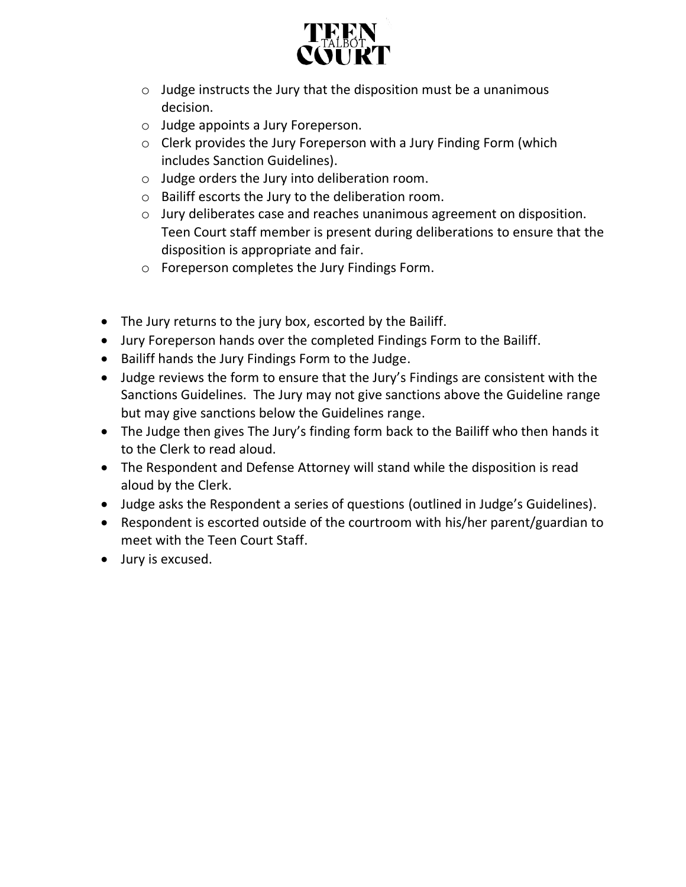

- $\circ$  Judge instructs the Jury that the disposition must be a unanimous decision.
- o Judge appoints a Jury Foreperson.
- o Clerk provides the Jury Foreperson with a Jury Finding Form (which includes Sanction Guidelines).
- o Judge orders the Jury into deliberation room.
- o Bailiff escorts the Jury to the deliberation room.
- o Jury deliberates case and reaches unanimous agreement on disposition. Teen Court staff member is present during deliberations to ensure that the disposition is appropriate and fair.
- o Foreperson completes the Jury Findings Form.
- The Jury returns to the jury box, escorted by the Bailiff.
- Jury Foreperson hands over the completed Findings Form to the Bailiff.
- Bailiff hands the Jury Findings Form to the Judge.
- Judge reviews the form to ensure that the Jury's Findings are consistent with the Sanctions Guidelines. The Jury may not give sanctions above the Guideline range but may give sanctions below the Guidelines range.
- The Judge then gives The Jury's finding form back to the Bailiff who then hands it to the Clerk to read aloud.
- The Respondent and Defense Attorney will stand while the disposition is read aloud by the Clerk.
- Judge asks the Respondent a series of questions (outlined in Judge's Guidelines).
- Respondent is escorted outside of the courtroom with his/her parent/guardian to meet with the Teen Court Staff.
- Jury is excused.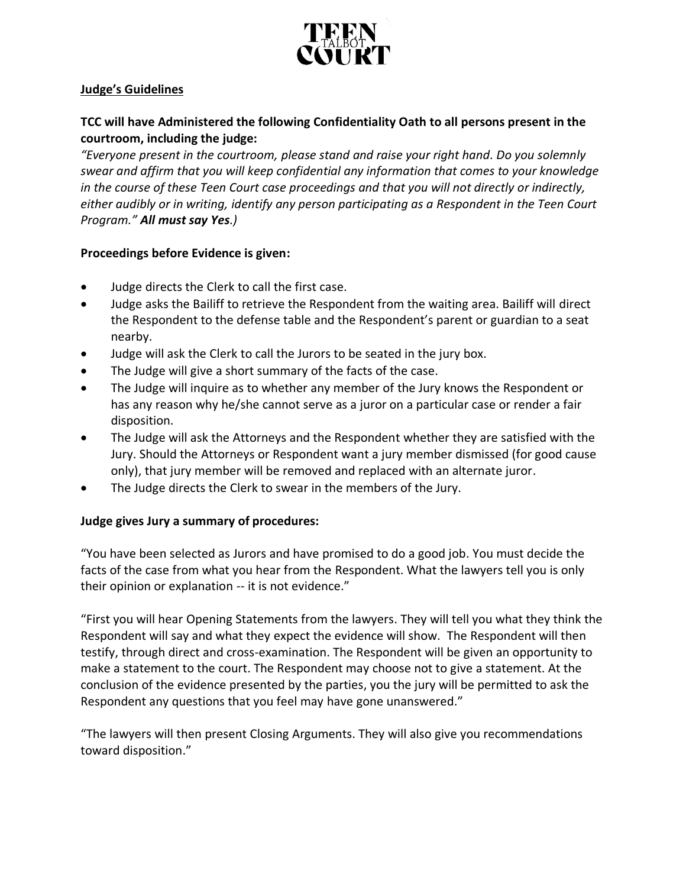

# **Judge's Guidelines**

# **TCC will have Administered the following Confidentiality Oath to all persons present in the courtroom, including the judge:**

*"Everyone present in the courtroom, please stand and raise your right hand. Do you solemnly swear and affirm that you will keep confidential any information that comes to your knowledge in the course of these Teen Court case proceedings and that you will not directly or indirectly, either audibly or in writing, identify any person participating as a Respondent in the Teen Court Program." All must say Yes.)*

### **Proceedings before Evidence is given:**

- Judge directs the Clerk to call the first case.
- Judge asks the Bailiff to retrieve the Respondent from the waiting area. Bailiff will direct the Respondent to the defense table and the Respondent's parent or guardian to a seat nearby.
- Judge will ask the Clerk to call the Jurors to be seated in the jury box.
- The Judge will give a short summary of the facts of the case.
- The Judge will inquire as to whether any member of the Jury knows the Respondent or has any reason why he/she cannot serve as a juror on a particular case or render a fair disposition.
- The Judge will ask the Attorneys and the Respondent whether they are satisfied with the Jury. Should the Attorneys or Respondent want a jury member dismissed (for good cause only), that jury member will be removed and replaced with an alternate juror.
- The Judge directs the Clerk to swear in the members of the Jury.

# **Judge gives Jury a summary of procedures:**

"You have been selected as Jurors and have promised to do a good job. You must decide the facts of the case from what you hear from the Respondent. What the lawyers tell you is only their opinion or explanation -- it is not evidence."

"First you will hear Opening Statements from the lawyers. They will tell you what they think the Respondent will say and what they expect the evidence will show. The Respondent will then testify, through direct and cross-examination. The Respondent will be given an opportunity to make a statement to the court. The Respondent may choose not to give a statement. At the conclusion of the evidence presented by the parties, you the jury will be permitted to ask the Respondent any questions that you feel may have gone unanswered."

"The lawyers will then present Closing Arguments. They will also give you recommendations toward disposition."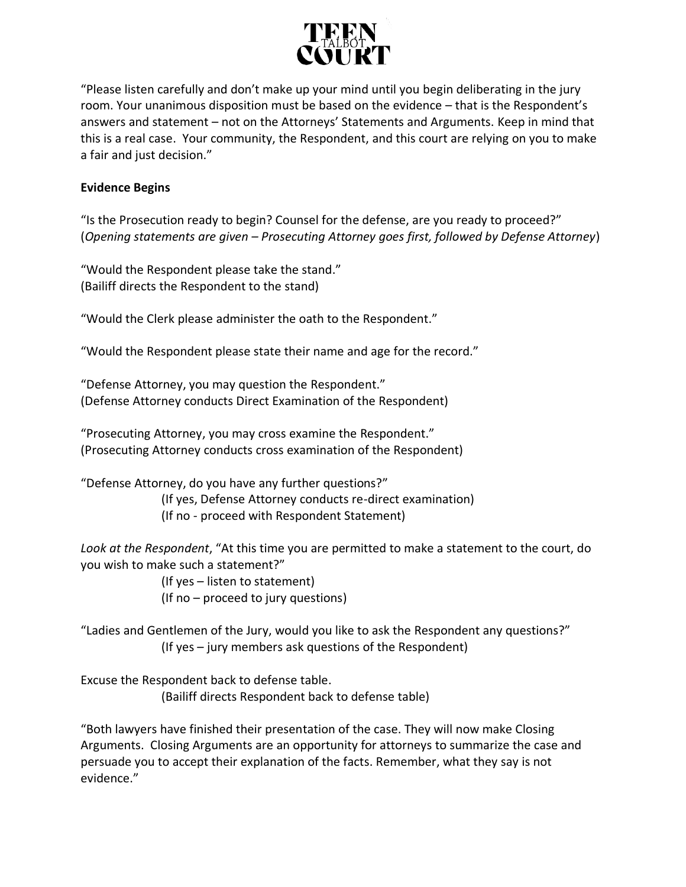

"Please listen carefully and don't make up your mind until you begin deliberating in the jury room. Your unanimous disposition must be based on the evidence – that is the Respondent's answers and statement – not on the Attorneys' Statements and Arguments. Keep in mind that this is a real case. Your community, the Respondent, and this court are relying on you to make a fair and just decision."

## **Evidence Begins**

"Is the Prosecution ready to begin? Counsel for the defense, are you ready to proceed?" (*Opening statements are given – Prosecuting Attorney goes first, followed by Defense Attorney*)

"Would the Respondent please take the stand." (Bailiff directs the Respondent to the stand)

"Would the Clerk please administer the oath to the Respondent."

"Would the Respondent please state their name and age for the record."

"Defense Attorney, you may question the Respondent." (Defense Attorney conducts Direct Examination of the Respondent)

"Prosecuting Attorney, you may cross examine the Respondent." (Prosecuting Attorney conducts cross examination of the Respondent)

"Defense Attorney, do you have any further questions?" (If yes, Defense Attorney conducts re-direct examination)

(If no - proceed with Respondent Statement)

*Look at the Respondent*, "At this time you are permitted to make a statement to the court, do you wish to make such a statement?"

(If yes – listen to statement)

(If no – proceed to jury questions)

"Ladies and Gentlemen of the Jury, would you like to ask the Respondent any questions?" (If yes – jury members ask questions of the Respondent)

Excuse the Respondent back to defense table. (Bailiff directs Respondent back to defense table)

"Both lawyers have finished their presentation of the case. They will now make Closing Arguments. Closing Arguments are an opportunity for attorneys to summarize the case and persuade you to accept their explanation of the facts. Remember, what they say is not evidence."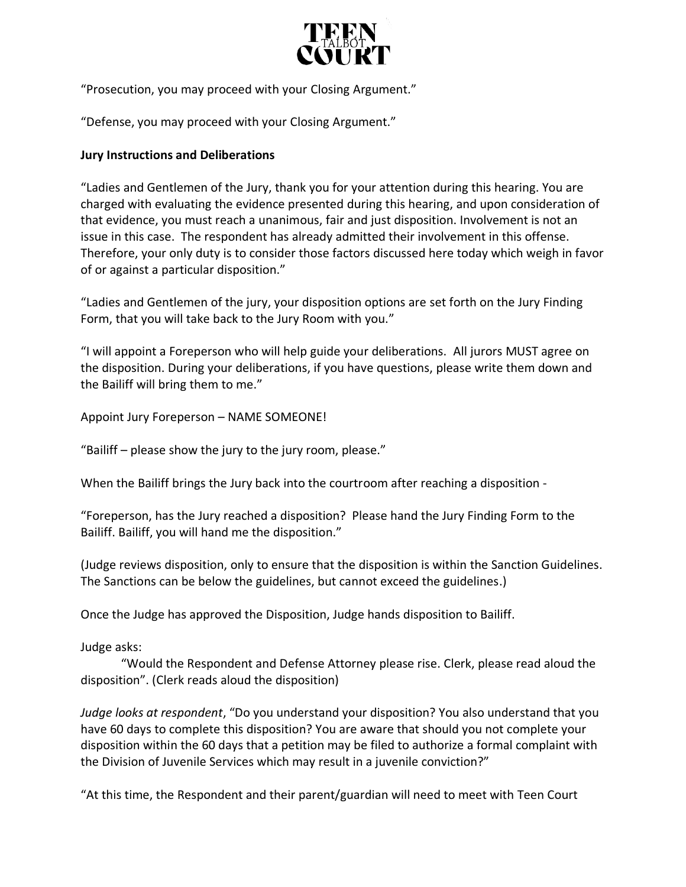

"Prosecution, you may proceed with your Closing Argument."

"Defense, you may proceed with your Closing Argument."

### **Jury Instructions and Deliberations**

"Ladies and Gentlemen of the Jury, thank you for your attention during this hearing. You are charged with evaluating the evidence presented during this hearing, and upon consideration of that evidence, you must reach a unanimous, fair and just disposition. Involvement is not an issue in this case. The respondent has already admitted their involvement in this offense. Therefore, your only duty is to consider those factors discussed here today which weigh in favor of or against a particular disposition."

"Ladies and Gentlemen of the jury, your disposition options are set forth on the Jury Finding Form, that you will take back to the Jury Room with you."

"I will appoint a Foreperson who will help guide your deliberations. All jurors MUST agree on the disposition. During your deliberations, if you have questions, please write them down and the Bailiff will bring them to me."

Appoint Jury Foreperson – NAME SOMEONE!

"Bailiff – please show the jury to the jury room, please."

When the Bailiff brings the Jury back into the courtroom after reaching a disposition -

"Foreperson, has the Jury reached a disposition? Please hand the Jury Finding Form to the Bailiff. Bailiff, you will hand me the disposition."

(Judge reviews disposition, only to ensure that the disposition is within the Sanction Guidelines. The Sanctions can be below the guidelines, but cannot exceed the guidelines.)

Once the Judge has approved the Disposition, Judge hands disposition to Bailiff.

Judge asks:

"Would the Respondent and Defense Attorney please rise. Clerk, please read aloud the disposition". (Clerk reads aloud the disposition)

*Judge looks at respondent*, "Do you understand your disposition? You also understand that you have 60 days to complete this disposition? You are aware that should you not complete your disposition within the 60 days that a petition may be filed to authorize a formal complaint with the Division of Juvenile Services which may result in a juvenile conviction?"

"At this time, the Respondent and their parent/guardian will need to meet with Teen Court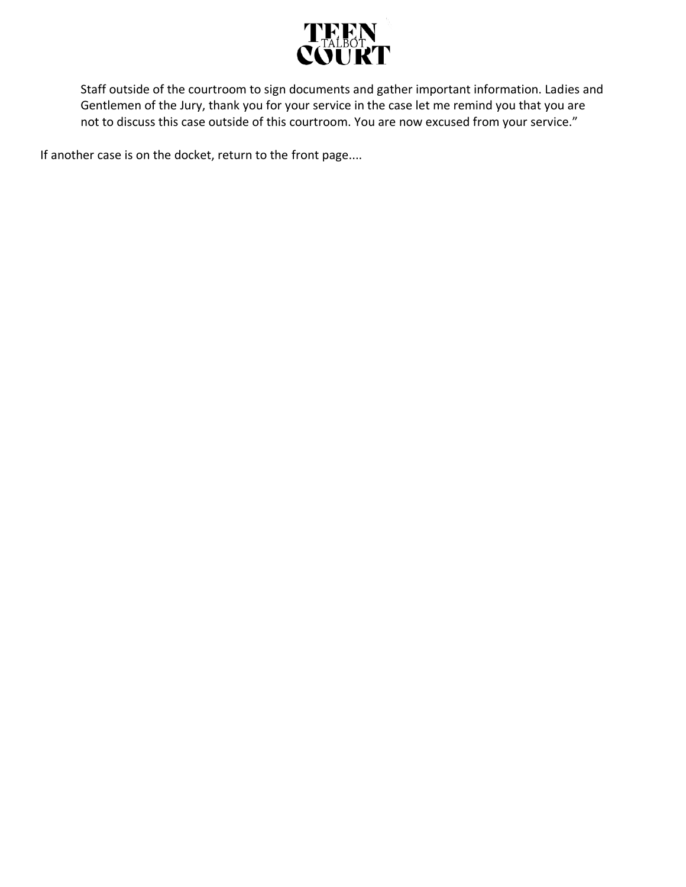

Staff outside of the courtroom to sign documents and gather important information. Ladies and Gentlemen of the Jury, thank you for your service in the case let me remind you that you are not to discuss this case outside of this courtroom. You are now excused from your service."

If another case is on the docket, return to the front page....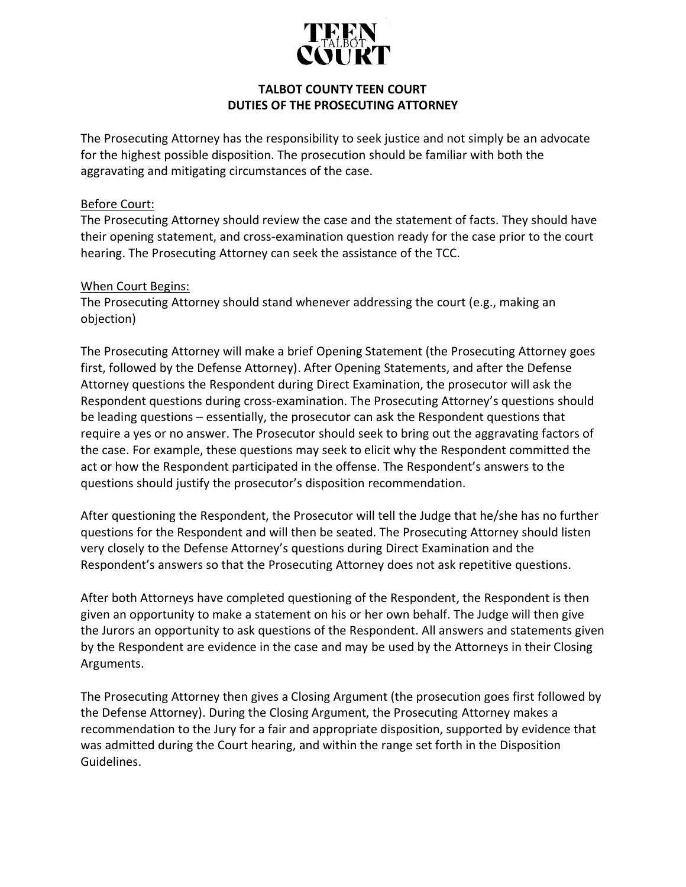

# **TALBOT COUNTY TEEN COURT DUTIES OF THE PROSECUTING ATTORNEY**

The Prosecuting Attorney has the responsibility to seek justice and not simply be an advocate for the highest possible disposition. The prosecution should be familiar with both the aggravating and mitigating circumstances of the case.

### Before Court:

The Prosecuting Attorney should review the case and the statement of facts. They should have their opening statement, and cross-examination question ready for the case prior to the court hearing. The Prosecuting Attorney can seek the assistance of the TCC.

## When Court Begins:

The Prosecuting Attorney should stand whenever addressing the court (e.g., making an objection)

The Prosecuting Attorney will make a brief Opening Statement (the Prosecuting Attorney goes first, followed by the Defense Attorney). After Opening Statements, and after the Defense Attorney questions the Respondent during Direct Examination, the prosecutor will ask the Respondent questions during cross-examination. The Prosecuting Attorney's questions should be leading questions – essentially, the prosecutor can ask the Respondent questions that require a yes or no answer. The Prosecutor should seek to bring out the aggravating factors of the case. For example, these questions may seek to elicit why the Respondent committed the act or how the Respondent participated in the offense. The Respondent's answers to the questions should justify the prosecutor's disposition recommendation.

After questioning the Respondent, the Prosecutor will tell the Judge that he/she has no further questions for the Respondent and will then be seated. The Prosecuting Attorney should listen very closely to the Defense Attorney's questions during Direct Examination and the Respondent's answers so that the Prosecuting Attorney does not ask repetitive questions.

After both Attorneys have completed questioning of the Respondent, the Respondent is then given an opportunity to make a statement on his or her own behalf. The Judge will then give the Jurors an opportunity to ask questions of the Respondent. All answers and statements given by the Respondent are evidence in the case and may be used by the Attorneys in their Closing Arguments.

The Prosecuting Attorney then gives a Closing Argument (the prosecution goes first followed by the Defense Attorney). During the Closing Argument, the Prosecuting Attorney makes a recommendation to the Jury for a fair and appropriate disposition, supported by evidence that was admitted during the Court hearing, and within the range set forth in the Disposition Guidelines.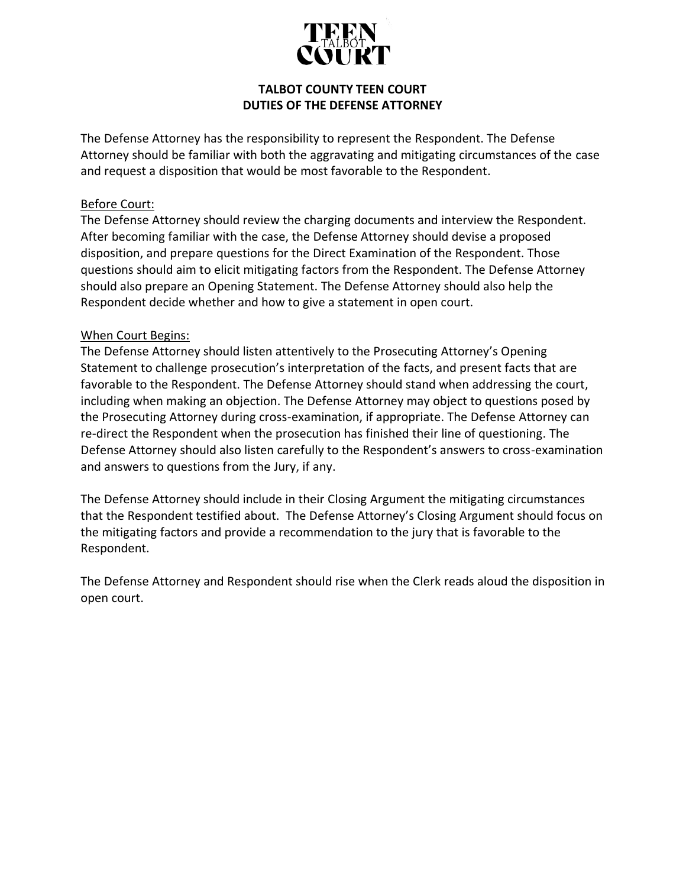

# **TALBOT COUNTY TEEN COURT DUTIES OF THE DEFENSE ATTORNEY**

The Defense Attorney has the responsibility to represent the Respondent. The Defense Attorney should be familiar with both the aggravating and mitigating circumstances of the case and request a disposition that would be most favorable to the Respondent.

## Before Court:

The Defense Attorney should review the charging documents and interview the Respondent. After becoming familiar with the case, the Defense Attorney should devise a proposed disposition, and prepare questions for the Direct Examination of the Respondent. Those questions should aim to elicit mitigating factors from the Respondent. The Defense Attorney should also prepare an Opening Statement. The Defense Attorney should also help the Respondent decide whether and how to give a statement in open court.

## When Court Begins:

The Defense Attorney should listen attentively to the Prosecuting Attorney's Opening Statement to challenge prosecution's interpretation of the facts, and present facts that are favorable to the Respondent. The Defense Attorney should stand when addressing the court, including when making an objection. The Defense Attorney may object to questions posed by the Prosecuting Attorney during cross-examination, if appropriate. The Defense Attorney can re-direct the Respondent when the prosecution has finished their line of questioning. The Defense Attorney should also listen carefully to the Respondent's answers to cross-examination and answers to questions from the Jury, if any.

The Defense Attorney should include in their Closing Argument the mitigating circumstances that the Respondent testified about. The Defense Attorney's Closing Argument should focus on the mitigating factors and provide a recommendation to the jury that is favorable to the Respondent.

The Defense Attorney and Respondent should rise when the Clerk reads aloud the disposition in open court.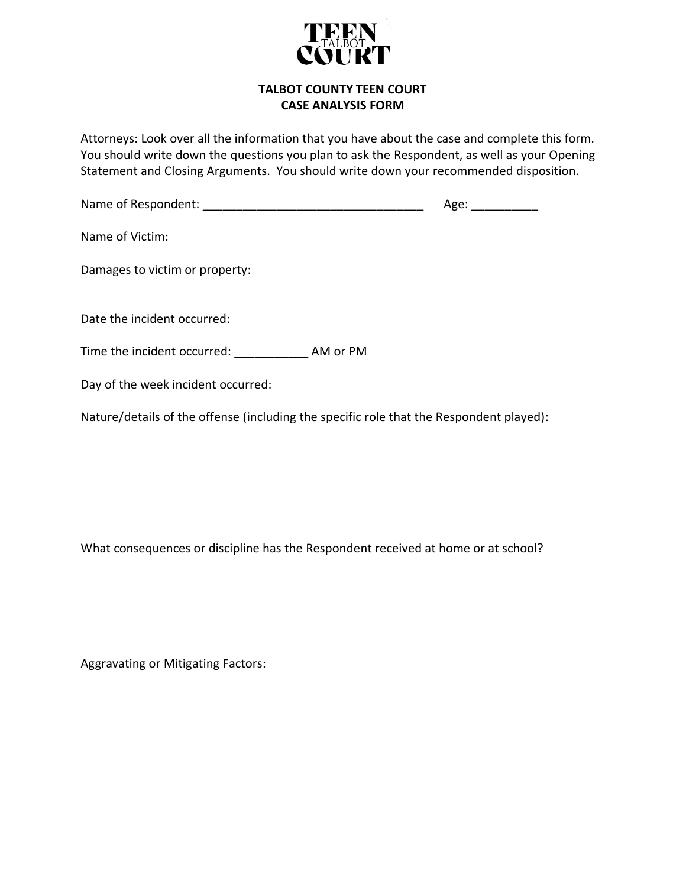

### **TALBOT COUNTY TEEN COURT CASE ANALYSIS FORM**

Attorneys: Look over all the information that you have about the case and complete this form. You should write down the questions you plan to ask the Respondent, as well as your Opening Statement and Closing Arguments. You should write down your recommended disposition.

| Name of Respondent:                |          | Age: |
|------------------------------------|----------|------|
| Name of Victim:                    |          |      |
| Damages to victim or property:     |          |      |
| Date the incident occurred:        |          |      |
| Time the incident occurred:        | AM or PM |      |
| Day of the week incident occurred: |          |      |

Nature/details of the offense (including the specific role that the Respondent played):

What consequences or discipline has the Respondent received at home or at school?

Aggravating or Mitigating Factors: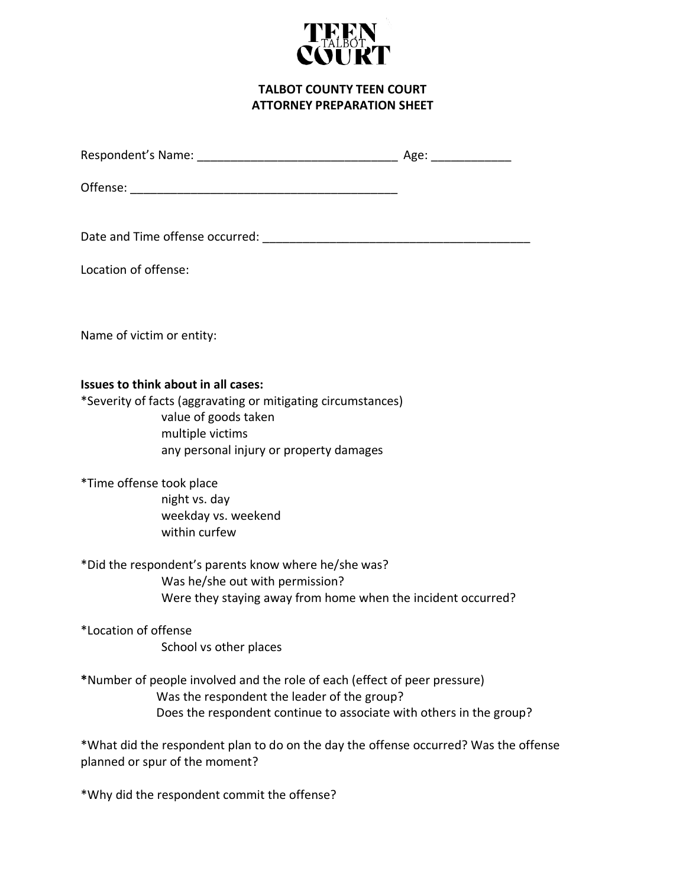

**TALBOT COUNTY TEEN COURT ATTORNEY PREPARATION SHEET**

| Location of offense:                                                                                                                                                                       |                                                                                      |
|--------------------------------------------------------------------------------------------------------------------------------------------------------------------------------------------|--------------------------------------------------------------------------------------|
| Name of victim or entity:                                                                                                                                                                  |                                                                                      |
| Issues to think about in all cases:<br>*Severity of facts (aggravating or mitigating circumstances)<br>value of goods taken<br>multiple victims<br>any personal injury or property damages |                                                                                      |
| *Time offense took place<br>night vs. day<br>weekday vs. weekend<br>within curfew                                                                                                          |                                                                                      |
| *Did the respondent's parents know where he/she was?<br>Was he/she out with permission?                                                                                                    | Were they staying away from home when the incident occurred?                         |
| *Location of offense<br>School vs other places                                                                                                                                             |                                                                                      |
| *Number of people involved and the role of each (effect of peer pressure)<br>Was the respondent the leader of the group?                                                                   | Does the respondent continue to associate with others in the group?                  |
| planned or spur of the moment?                                                                                                                                                             | *What did the respondent plan to do on the day the offense occurred? Was the offense |
| *Why did the respondent commit the offense?                                                                                                                                                |                                                                                      |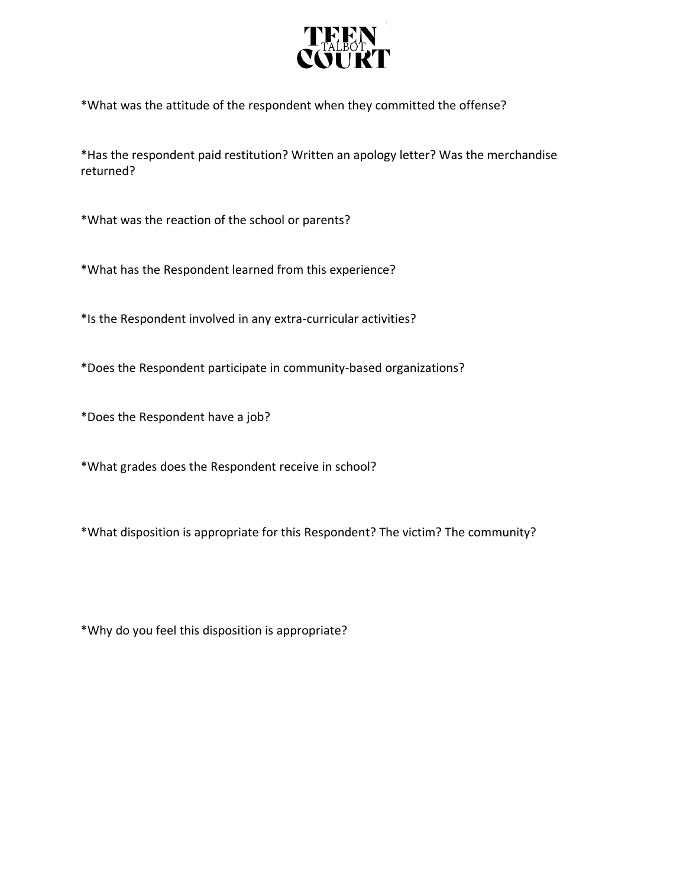

\*What was the attitude of the respondent when they committed the offense?

\*Has the respondent paid restitution? Written an apology letter? Was the merchandise returned?

\*What was the reaction of the school or parents?

\*What has the Respondent learned from this experience?

\*Is the Respondent involved in any extra-curricular activities?

\*Does the Respondent participate in community-based organizations?

\*Does the Respondent have a job?

\*What grades does the Respondent receive in school?

\*What disposition is appropriate for this Respondent? The victim? The community?

\*Why do you feel this disposition is appropriate?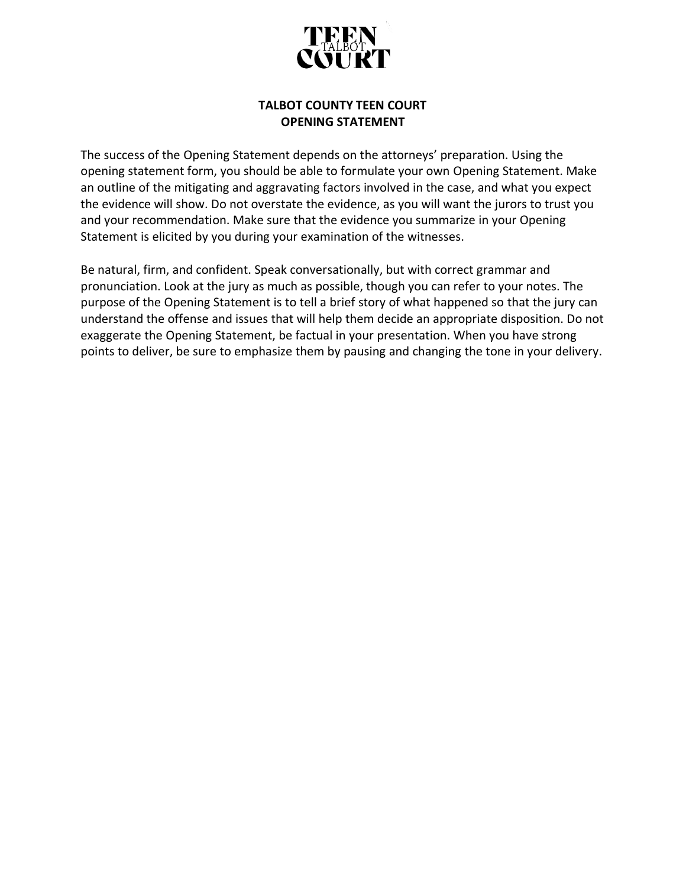

# **TALBOT COUNTY TEEN COURT OPENING STATEMENT**

The success of the Opening Statement depends on the attorneys' preparation. Using the opening statement form, you should be able to formulate your own Opening Statement. Make an outline of the mitigating and aggravating factors involved in the case, and what you expect the evidence will show. Do not overstate the evidence, as you will want the jurors to trust you and your recommendation. Make sure that the evidence you summarize in your Opening Statement is elicited by you during your examination of the witnesses.

Be natural, firm, and confident. Speak conversationally, but with correct grammar and pronunciation. Look at the jury as much as possible, though you can refer to your notes. The purpose of the Opening Statement is to tell a brief story of what happened so that the jury can understand the offense and issues that will help them decide an appropriate disposition. Do not exaggerate the Opening Statement, be factual in your presentation. When you have strong points to deliver, be sure to emphasize them by pausing and changing the tone in your delivery.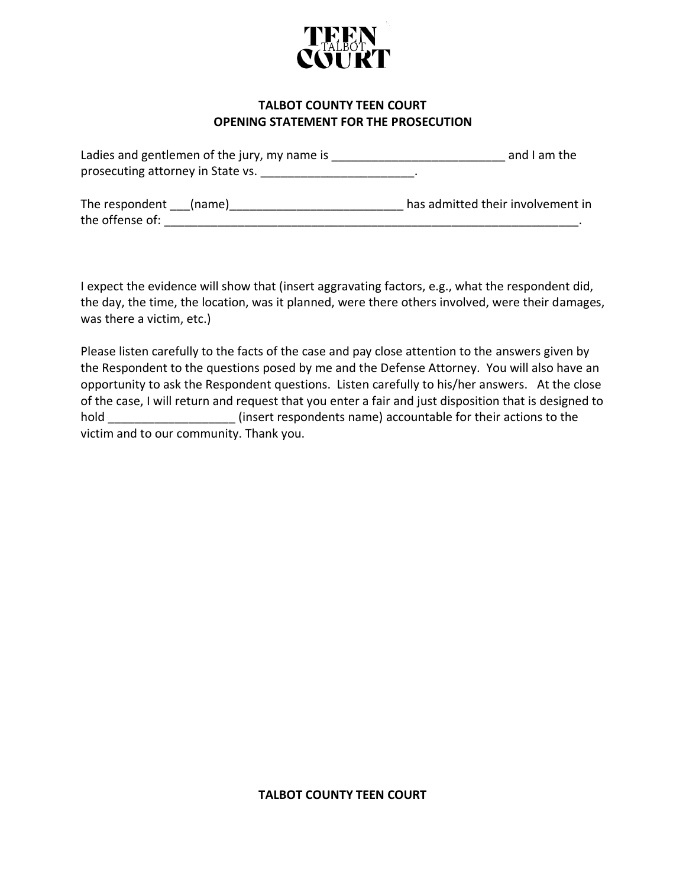

### **TALBOT COUNTY TEEN COURT OPENING STATEMENT FOR THE PROSECUTION**

| Ladies and gentlemen of the jury, my name is | and I am the                      |
|----------------------------------------------|-----------------------------------|
| prosecuting attorney in State vs.            |                                   |
| The respondent (name)                        | has admitted their involvement in |
| the offense of:                              |                                   |

I expect the evidence will show that (insert aggravating factors, e.g., what the respondent did, the day, the time, the location, was it planned, were there others involved, were their damages, was there a victim, etc.)

Please listen carefully to the facts of the case and pay close attention to the answers given by the Respondent to the questions posed by me and the Defense Attorney. You will also have an opportunity to ask the Respondent questions. Listen carefully to his/her answers. At the close of the case, I will return and request that you enter a fair and just disposition that is designed to hold **hold** (insert respondents name) accountable for their actions to the victim and to our community. Thank you.

#### **TALBOT COUNTY TEEN COURT**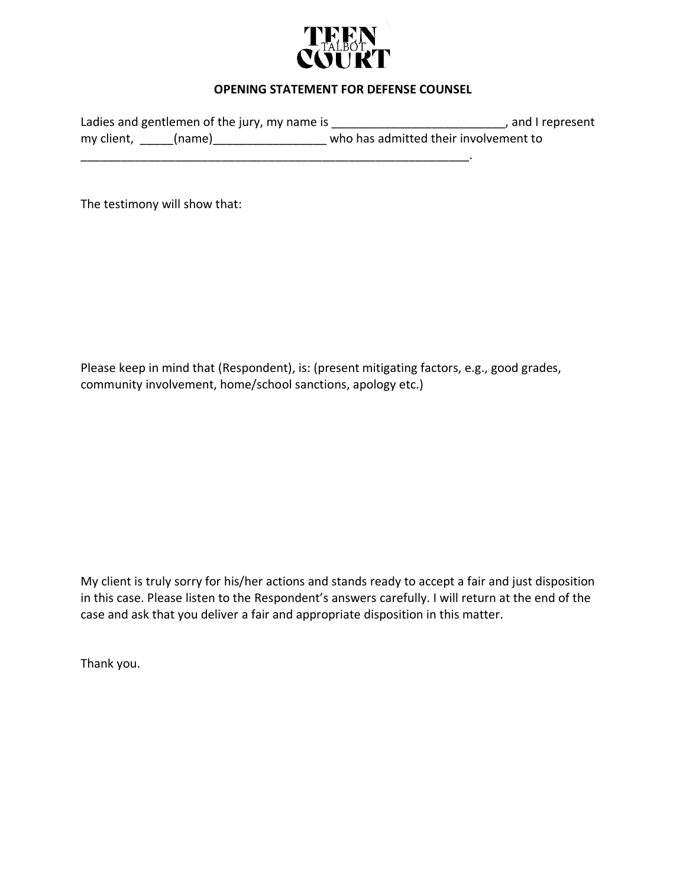

### **OPENING STATEMENT FOR DEFENSE COUNSEL**

Ladies and gentlemen of the jury, my name is \_\_\_\_\_\_\_\_\_\_\_\_\_\_\_\_\_\_\_\_\_\_\_\_\_\_\_\_, and I represent my client, \_\_\_\_\_(name)\_\_\_\_\_\_\_\_\_\_\_\_\_\_\_\_\_\_\_\_ who has admitted their involvement to

The testimony will show that:

Please keep in mind that (Respondent), is: (present mitigating factors, e.g., good grades, community involvement, home/school sanctions, apology etc.)

My client is truly sorry for his/her actions and stands ready to accept a fair and just disposition in this case. Please listen to the Respondent's answers carefully. I will return at the end of the case and ask that you deliver a fair and appropriate disposition in this matter.

Thank you.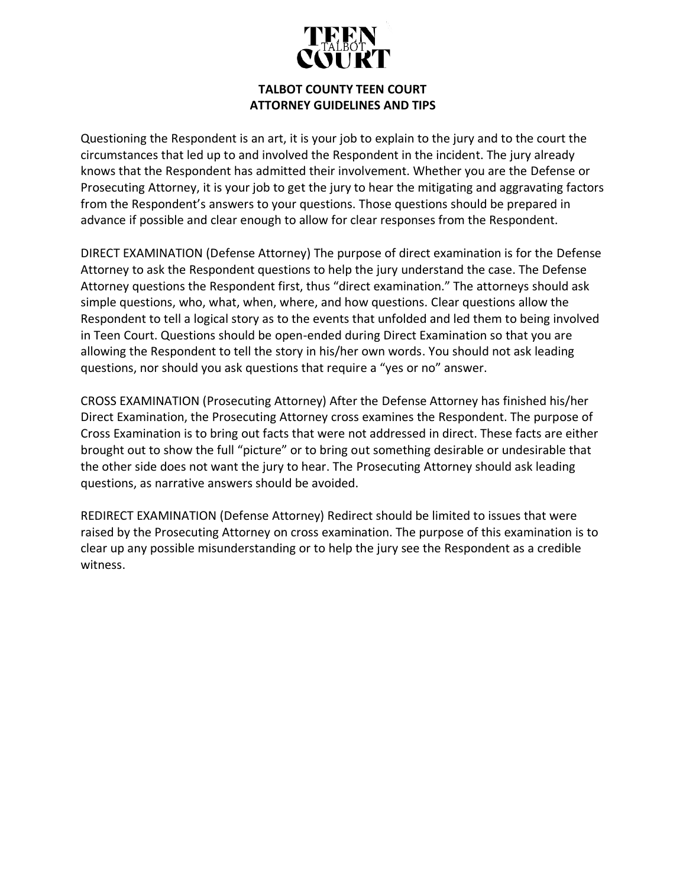

# **TALBOT COUNTY TEEN COURT ATTORNEY GUIDELINES AND TIPS**

Questioning the Respondent is an art, it is your job to explain to the jury and to the court the circumstances that led up to and involved the Respondent in the incident. The jury already knows that the Respondent has admitted their involvement. Whether you are the Defense or Prosecuting Attorney, it is your job to get the jury to hear the mitigating and aggravating factors from the Respondent's answers to your questions. Those questions should be prepared in advance if possible and clear enough to allow for clear responses from the Respondent.

DIRECT EXAMINATION (Defense Attorney) The purpose of direct examination is for the Defense Attorney to ask the Respondent questions to help the jury understand the case. The Defense Attorney questions the Respondent first, thus "direct examination." The attorneys should ask simple questions, who, what, when, where, and how questions. Clear questions allow the Respondent to tell a logical story as to the events that unfolded and led them to being involved in Teen Court. Questions should be open-ended during Direct Examination so that you are allowing the Respondent to tell the story in his/her own words. You should not ask leading questions, nor should you ask questions that require a "yes or no" answer.

CROSS EXAMINATION (Prosecuting Attorney) After the Defense Attorney has finished his/her Direct Examination, the Prosecuting Attorney cross examines the Respondent. The purpose of Cross Examination is to bring out facts that were not addressed in direct. These facts are either brought out to show the full "picture" or to bring out something desirable or undesirable that the other side does not want the jury to hear. The Prosecuting Attorney should ask leading questions, as narrative answers should be avoided.

REDIRECT EXAMINATION (Defense Attorney) Redirect should be limited to issues that were raised by the Prosecuting Attorney on cross examination. The purpose of this examination is to clear up any possible misunderstanding or to help the jury see the Respondent as a credible witness.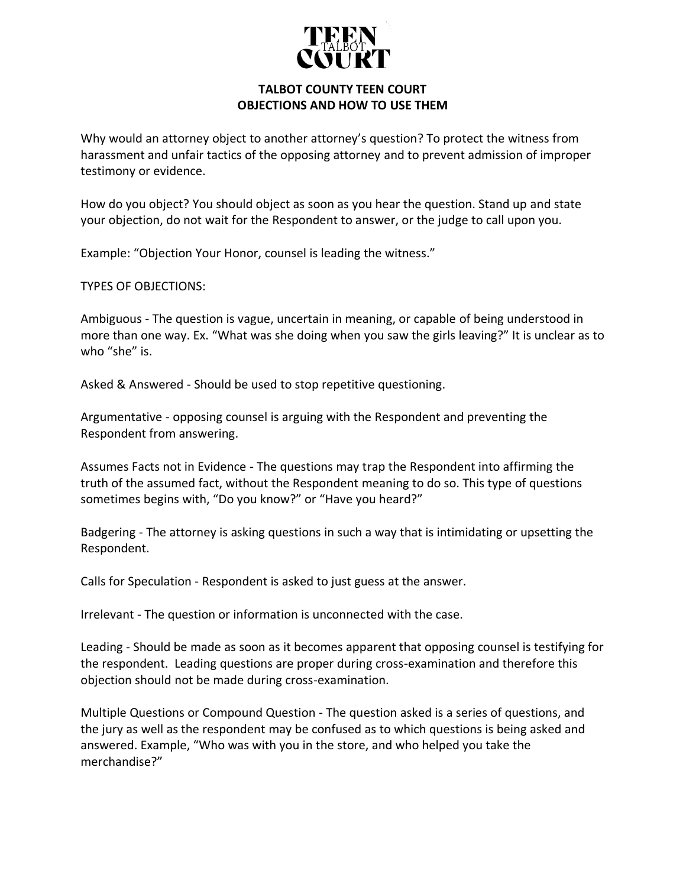

### **TALBOT COUNTY TEEN COURT OBJECTIONS AND HOW TO USE THEM**

Why would an attorney object to another attorney's question? To protect the witness from harassment and unfair tactics of the opposing attorney and to prevent admission of improper testimony or evidence.

How do you object? You should object as soon as you hear the question. Stand up and state your objection, do not wait for the Respondent to answer, or the judge to call upon you.

Example: "Objection Your Honor, counsel is leading the witness."

TYPES OF OBJECTIONS:

Ambiguous - The question is vague, uncertain in meaning, or capable of being understood in more than one way. Ex. "What was she doing when you saw the girls leaving?" It is unclear as to who "she" is.

Asked & Answered - Should be used to stop repetitive questioning.

Argumentative - opposing counsel is arguing with the Respondent and preventing the Respondent from answering.

Assumes Facts not in Evidence - The questions may trap the Respondent into affirming the truth of the assumed fact, without the Respondent meaning to do so. This type of questions sometimes begins with, "Do you know?" or "Have you heard?"

Badgering - The attorney is asking questions in such a way that is intimidating or upsetting the Respondent.

Calls for Speculation - Respondent is asked to just guess at the answer.

Irrelevant - The question or information is unconnected with the case.

Leading - Should be made as soon as it becomes apparent that opposing counsel is testifying for the respondent. Leading questions are proper during cross-examination and therefore this objection should not be made during cross-examination.

Multiple Questions or Compound Question - The question asked is a series of questions, and the jury as well as the respondent may be confused as to which questions is being asked and answered. Example, "Who was with you in the store, and who helped you take the merchandise?"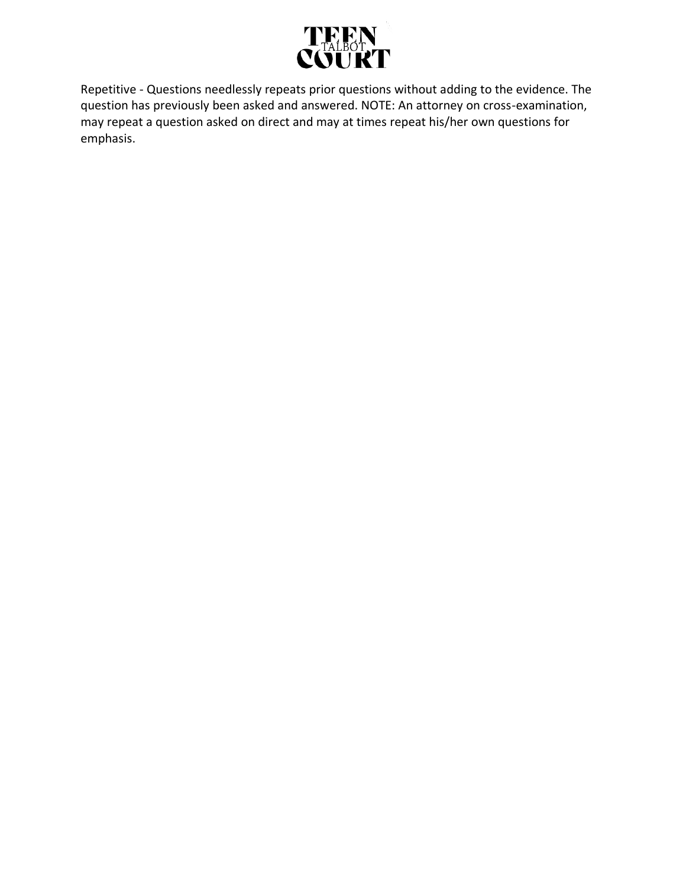

Repetitive - Questions needlessly repeats prior questions without adding to the evidence. The question has previously been asked and answered. NOTE: An attorney on cross-examination, may repeat a question asked on direct and may at times repeat his/her own questions for emphasis.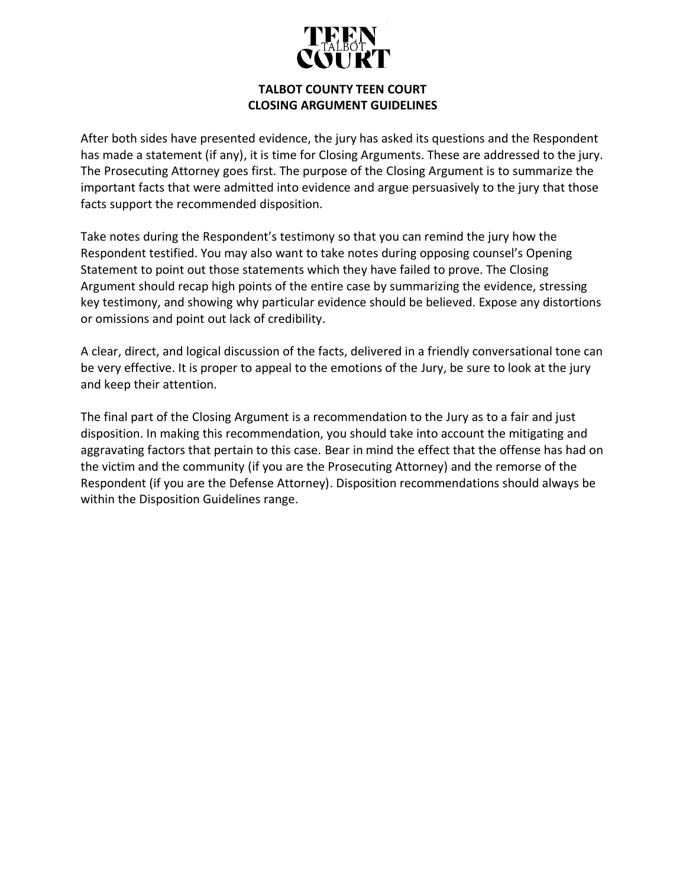

## **TALBOT COUNTY TEEN COURT CLOSING ARGUMENT GUIDELINES**

After both sides have presented evidence, the jury has asked its questions and the Respondent has made a statement (if any), it is time for Closing Arguments. These are addressed to the jury. The Prosecuting Attorney goes first. The purpose of the Closing Argument is to summarize the important facts that were admitted into evidence and argue persuasively to the jury that those facts support the recommended disposition.

Take notes during the Respondent's testimony so that you can remind the jury how the Respondent testified. You may also want to take notes during opposing counsel's Opening Statement to point out those statements which they have failed to prove. The Closing Argument should recap high points of the entire case by summarizing the evidence, stressing key testimony, and showing why particular evidence should be believed. Expose any distortions or omissions and point out lack of credibility.

A clear, direct, and logical discussion of the facts, delivered in a friendly conversational tone can be very effective. It is proper to appeal to the emotions of the Jury, be sure to look at the jury and keep their attention.

The final part of the Closing Argument is a recommendation to the Jury as to a fair and just disposition. In making this recommendation, you should take into account the mitigating and aggravating factors that pertain to this case. Bear in mind the effect that the offense has had on the victim and the community (if you are the Prosecuting Attorney) and the remorse of the Respondent (if you are the Defense Attorney). Disposition recommendations should always be within the Disposition Guidelines range.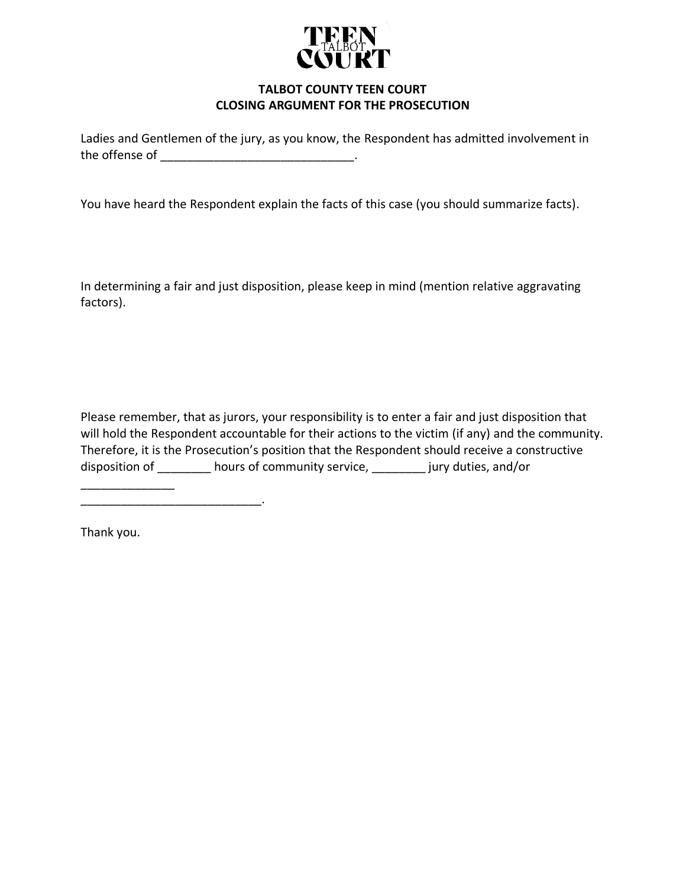

# **TALBOT COUNTY TEEN COURT CLOSING ARGUMENT FOR THE PROSECUTION**

Ladies and Gentlemen of the jury, as you know, the Respondent has admitted involvement in the offense of  $\qquad \qquad \qquad \qquad$ 

You have heard the Respondent explain the facts of this case (you should summarize facts).

In determining a fair and just disposition, please keep in mind (mention relative aggravating factors).

Please remember, that as jurors, your responsibility is to enter a fair and just disposition that will hold the Respondent accountable for their actions to the victim (if any) and the community. Therefore, it is the Prosecution's position that the Respondent should receive a constructive disposition of \_\_\_\_\_\_\_\_ hours of community service, \_\_\_\_\_\_\_\_ jury duties, and/or

Thank you.

 $\overline{\phantom{a}}$  , where  $\overline{\phantom{a}}$ 

\_\_\_\_\_\_\_\_\_\_\_\_\_\_\_\_\_\_\_\_\_\_\_\_\_\_\_.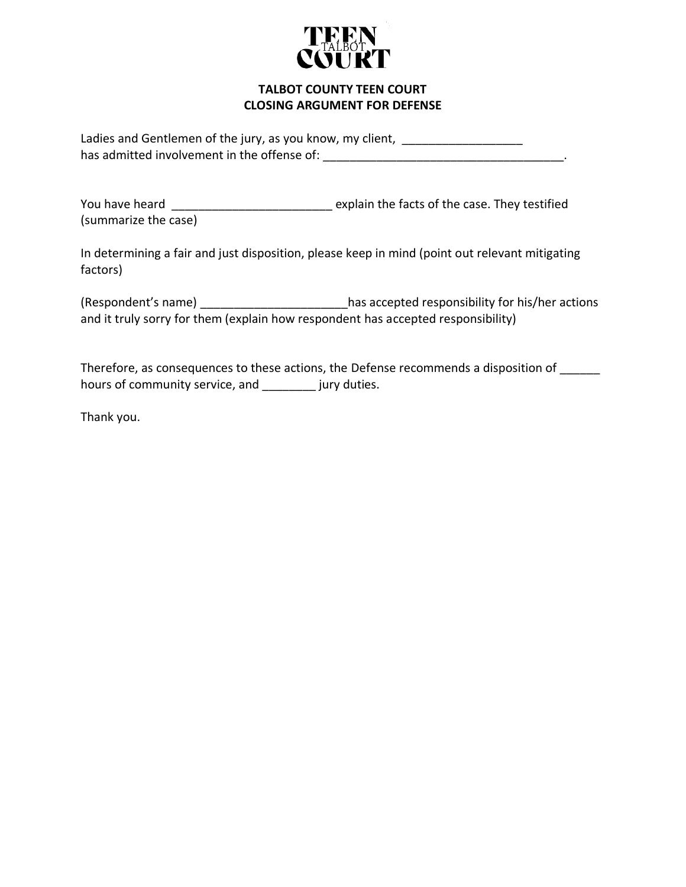

### **TALBOT COUNTY TEEN COURT CLOSING ARGUMENT FOR DEFENSE**

Ladies and Gentlemen of the jury, as you know, my client, \_\_\_\_\_\_\_\_\_\_\_\_\_\_\_\_\_\_\_\_\_\_ has admitted involvement in the offense of: \_\_\_\_\_\_\_\_\_\_\_\_\_\_\_\_\_\_\_\_\_\_\_\_\_\_\_\_\_\_\_\_\_\_\_\_.

You have heard \_\_\_\_\_\_\_\_\_\_\_\_\_\_\_\_\_\_\_\_\_\_\_\_\_\_\_\_ explain the facts of the case. They testified (summarize the case)

In determining a fair and just disposition, please keep in mind (point out relevant mitigating factors)

(Respondent's name) \_\_\_\_\_\_\_\_\_\_\_\_\_\_\_\_\_\_\_\_\_\_has accepted responsibility for his/her actions and it truly sorry for them (explain how respondent has accepted responsibility)

Therefore, as consequences to these actions, the Defense recommends a disposition of \_\_\_\_\_\_ hours of community service, and \_\_\_\_\_\_\_\_ jury duties.

Thank you.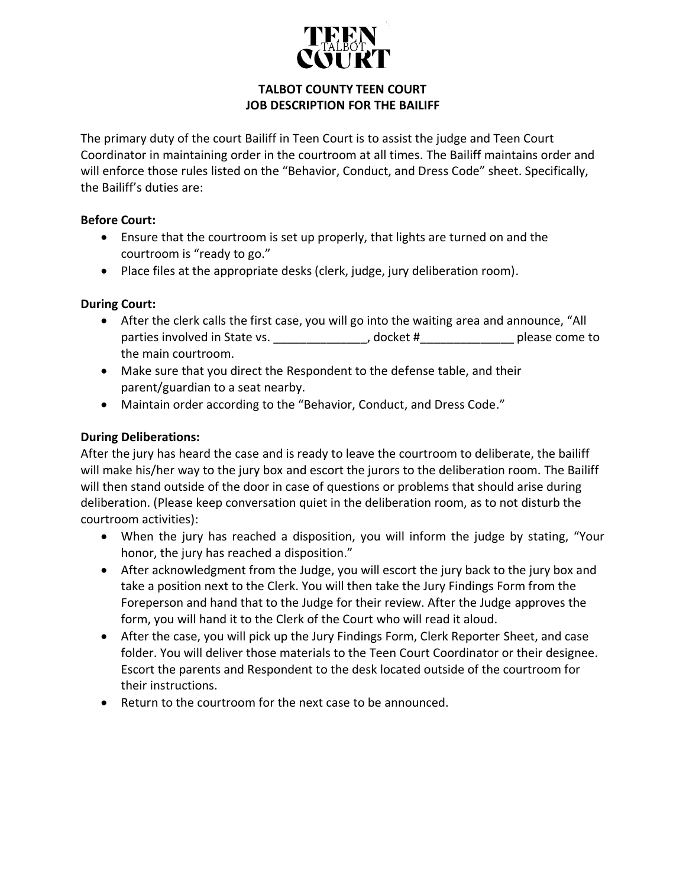

# **TALBOT COUNTY TEEN COURT JOB DESCRIPTION FOR THE BAILIFF**

The primary duty of the court Bailiff in Teen Court is to assist the judge and Teen Court Coordinator in maintaining order in the courtroom at all times. The Bailiff maintains order and will enforce those rules listed on the "Behavior, Conduct, and Dress Code" sheet. Specifically, the Bailiff's duties are:

### **Before Court:**

- Ensure that the courtroom is set up properly, that lights are turned on and the courtroom is "ready to go."
- Place files at the appropriate desks (clerk, judge, jury deliberation room).

# **During Court:**

- After the clerk calls the first case, you will go into the waiting area and announce, "All parties involved in State vs. \_\_\_\_\_\_\_\_\_\_\_\_\_\_, docket #\_\_\_\_\_\_\_\_\_\_\_\_\_\_\_\_\_\_\_\_ please come to the main courtroom.
- Make sure that you direct the Respondent to the defense table, and their parent/guardian to a seat nearby.
- Maintain order according to the "Behavior, Conduct, and Dress Code."

# **During Deliberations:**

After the jury has heard the case and is ready to leave the courtroom to deliberate, the bailiff will make his/her way to the jury box and escort the jurors to the deliberation room. The Bailiff will then stand outside of the door in case of questions or problems that should arise during deliberation. (Please keep conversation quiet in the deliberation room, as to not disturb the courtroom activities):

- When the jury has reached a disposition, you will inform the judge by stating, "Your honor, the jury has reached a disposition."
- After acknowledgment from the Judge, you will escort the jury back to the jury box and take a position next to the Clerk. You will then take the Jury Findings Form from the Foreperson and hand that to the Judge for their review. After the Judge approves the form, you will hand it to the Clerk of the Court who will read it aloud.
- After the case, you will pick up the Jury Findings Form, Clerk Reporter Sheet, and case folder. You will deliver those materials to the Teen Court Coordinator or their designee. Escort the parents and Respondent to the desk located outside of the courtroom for their instructions.
- Return to the courtroom for the next case to be announced.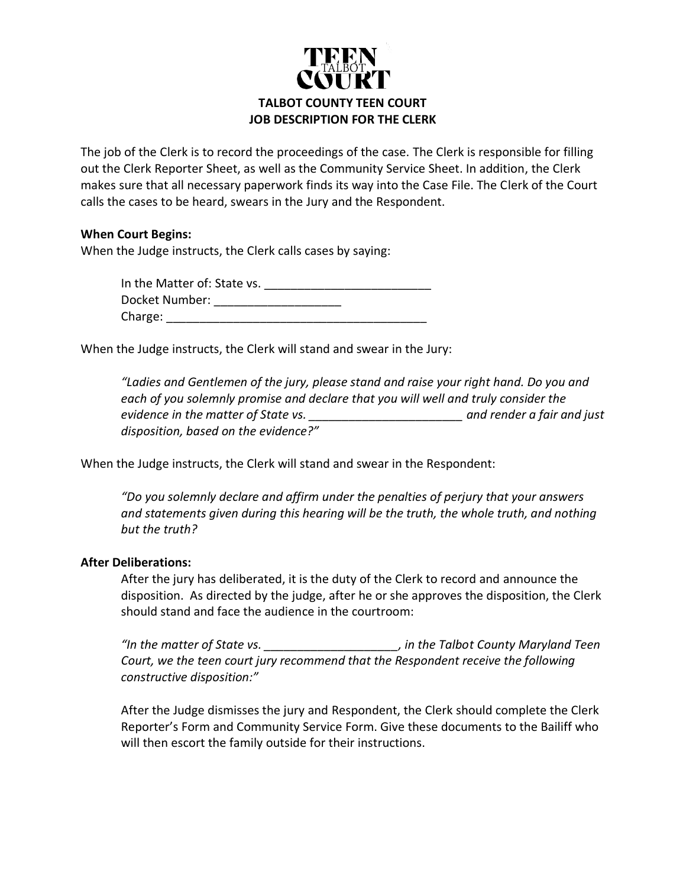

The job of the Clerk is to record the proceedings of the case. The Clerk is responsible for filling out the Clerk Reporter Sheet, as well as the Community Service Sheet. In addition, the Clerk makes sure that all necessary paperwork finds its way into the Case File. The Clerk of the Court calls the cases to be heard, swears in the Jury and the Respondent.

### **When Court Begins:**

When the Judge instructs, the Clerk calls cases by saying:

In the Matter of: State vs. Docket Number: \_\_\_\_\_\_\_\_\_\_\_\_\_\_\_\_\_\_\_\_\_ Charge:

When the Judge instructs, the Clerk will stand and swear in the Jury:

*"Ladies and Gentlemen of the jury, please stand and raise your right hand. Do you and each of you solemnly promise and declare that you will well and truly consider the evidence in the matter of State vs. \_\_\_\_\_\_\_\_\_\_\_\_\_\_\_\_\_\_\_\_\_\_\_ and render a fair and just disposition, based on the evidence?"*

When the Judge instructs, the Clerk will stand and swear in the Respondent:

*"Do you solemnly declare and affirm under the penalties of perjury that your answers and statements given during this hearing will be the truth, the whole truth, and nothing but the truth?*

#### **After Deliberations:**

After the jury has deliberated, it is the duty of the Clerk to record and announce the disposition. As directed by the judge, after he or she approves the disposition, the Clerk should stand and face the audience in the courtroom:

*"In the matter of State vs. \_\_\_\_\_\_\_\_\_\_\_\_\_\_\_\_\_\_\_\_, in the Talbot County Maryland Teen Court, we the teen court jury recommend that the Respondent receive the following constructive disposition:"*

After the Judge dismisses the jury and Respondent, the Clerk should complete the Clerk Reporter's Form and Community Service Form. Give these documents to the Bailiff who will then escort the family outside for their instructions.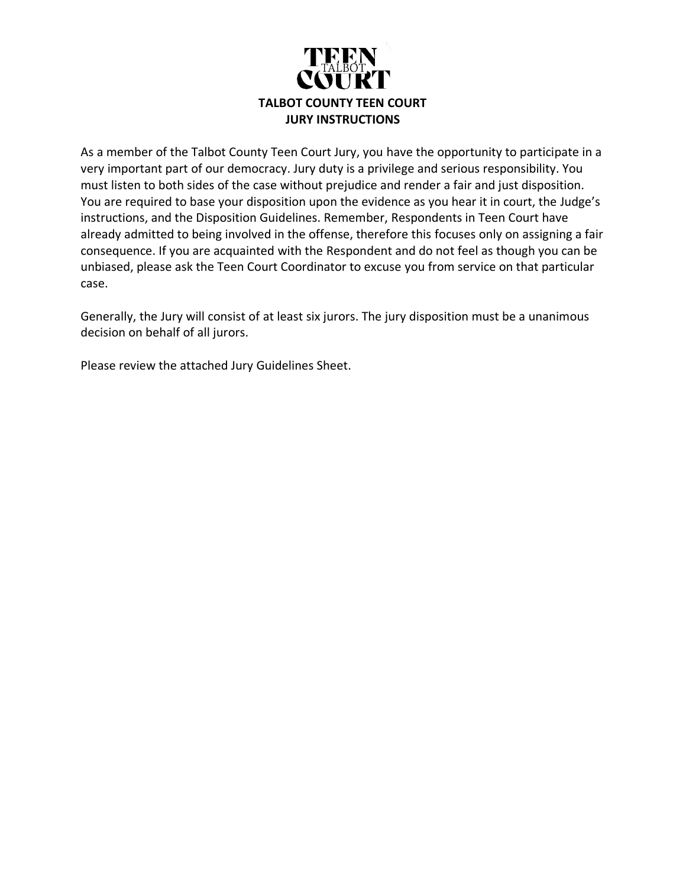

As a member of the Talbot County Teen Court Jury, you have the opportunity to participate in a very important part of our democracy. Jury duty is a privilege and serious responsibility. You must listen to both sides of the case without prejudice and render a fair and just disposition. You are required to base your disposition upon the evidence as you hear it in court, the Judge's instructions, and the Disposition Guidelines. Remember, Respondents in Teen Court have already admitted to being involved in the offense, therefore this focuses only on assigning a fair consequence. If you are acquainted with the Respondent and do not feel as though you can be unbiased, please ask the Teen Court Coordinator to excuse you from service on that particular case.

Generally, the Jury will consist of at least six jurors. The jury disposition must be a unanimous decision on behalf of all jurors.

Please review the attached Jury Guidelines Sheet.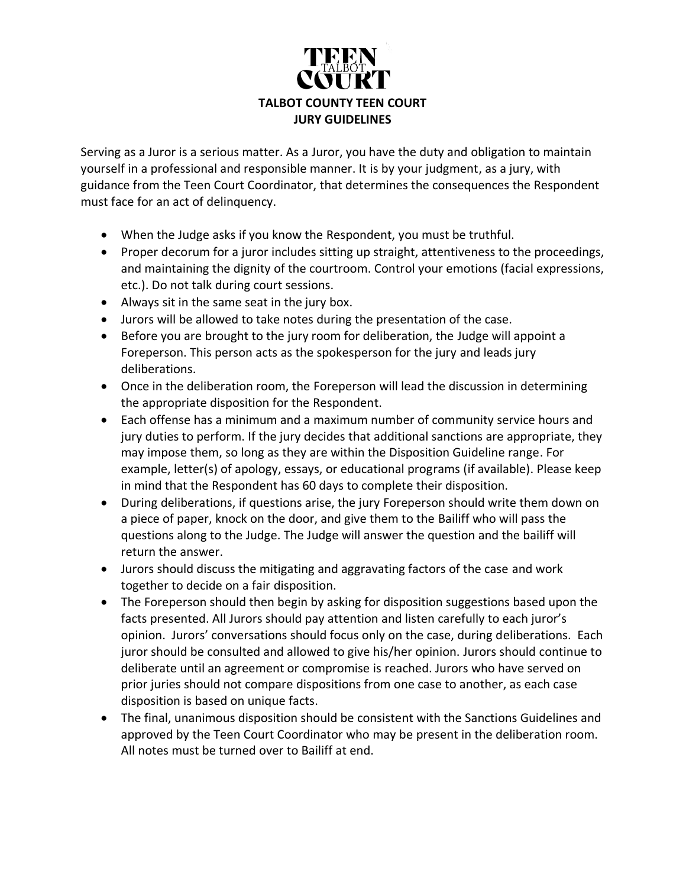

Serving as a Juror is a serious matter. As a Juror, you have the duty and obligation to maintain yourself in a professional and responsible manner. It is by your judgment, as a jury, with guidance from the Teen Court Coordinator, that determines the consequences the Respondent must face for an act of delinquency.

- When the Judge asks if you know the Respondent, you must be truthful.
- Proper decorum for a juror includes sitting up straight, attentiveness to the proceedings, and maintaining the dignity of the courtroom. Control your emotions (facial expressions, etc.). Do not talk during court sessions.
- Always sit in the same seat in the jury box.
- Jurors will be allowed to take notes during the presentation of the case.
- Before you are brought to the jury room for deliberation, the Judge will appoint a Foreperson. This person acts as the spokesperson for the jury and leads jury deliberations.
- Once in the deliberation room, the Foreperson will lead the discussion in determining the appropriate disposition for the Respondent.
- Each offense has a minimum and a maximum number of community service hours and jury duties to perform. If the jury decides that additional sanctions are appropriate, they may impose them, so long as they are within the Disposition Guideline range. For example, letter(s) of apology, essays, or educational programs (if available). Please keep in mind that the Respondent has 60 days to complete their disposition.
- During deliberations, if questions arise, the jury Foreperson should write them down on a piece of paper, knock on the door, and give them to the Bailiff who will pass the questions along to the Judge. The Judge will answer the question and the bailiff will return the answer.
- Jurors should discuss the mitigating and aggravating factors of the case and work together to decide on a fair disposition.
- The Foreperson should then begin by asking for disposition suggestions based upon the facts presented. All Jurors should pay attention and listen carefully to each juror's opinion. Jurors' conversations should focus only on the case, during deliberations. Each juror should be consulted and allowed to give his/her opinion. Jurors should continue to deliberate until an agreement or compromise is reached. Jurors who have served on prior juries should not compare dispositions from one case to another, as each case disposition is based on unique facts.
- The final, unanimous disposition should be consistent with the Sanctions Guidelines and approved by the Teen Court Coordinator who may be present in the deliberation room. All notes must be turned over to Bailiff at end.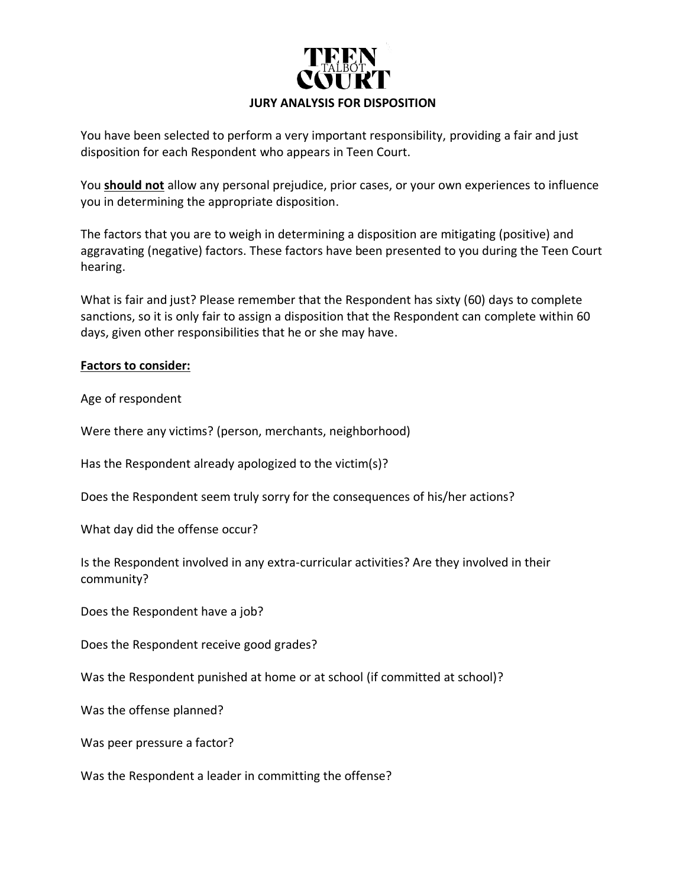

You have been selected to perform a very important responsibility, providing a fair and just disposition for each Respondent who appears in Teen Court.

You **should not** allow any personal prejudice, prior cases, or your own experiences to influence you in determining the appropriate disposition.

The factors that you are to weigh in determining a disposition are mitigating (positive) and aggravating (negative) factors. These factors have been presented to you during the Teen Court hearing.

What is fair and just? Please remember that the Respondent has sixty (60) days to complete sanctions, so it is only fair to assign a disposition that the Respondent can complete within 60 days, given other responsibilities that he or she may have.

### **Factors to consider:**

Age of respondent

Were there any victims? (person, merchants, neighborhood)

Has the Respondent already apologized to the victim(s)?

Does the Respondent seem truly sorry for the consequences of his/her actions?

What day did the offense occur?

Is the Respondent involved in any extra-curricular activities? Are they involved in their community?

Does the Respondent have a job?

Does the Respondent receive good grades?

Was the Respondent punished at home or at school (if committed at school)?

Was the offense planned?

Was peer pressure a factor?

Was the Respondent a leader in committing the offense?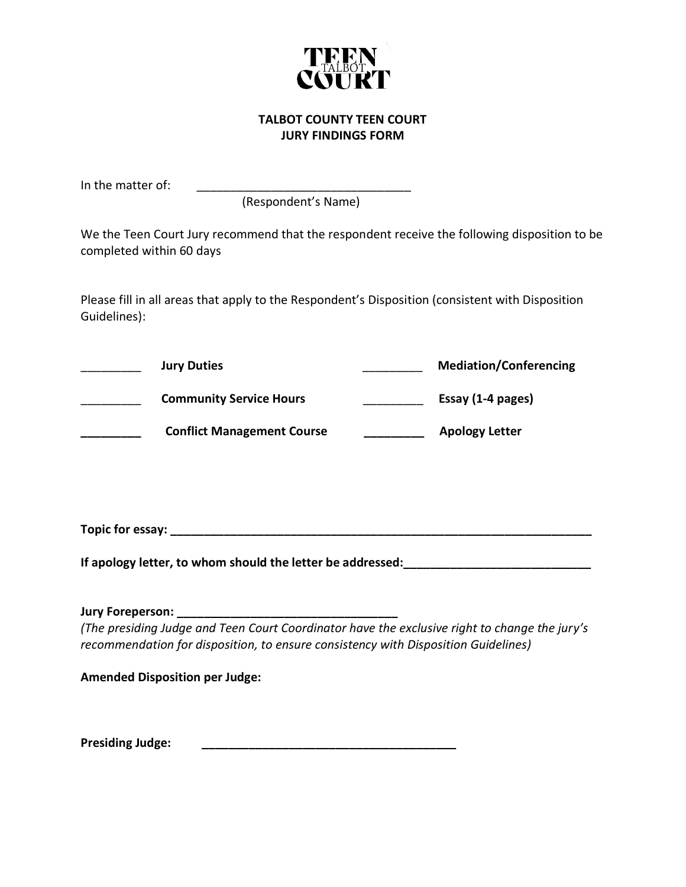

### **TALBOT COUNTY TEEN COURT JURY FINDINGS FORM**

In the matter of:

(Respondent's Name)

We the Teen Court Jury recommend that the respondent receive the following disposition to be completed within 60 days

Please fill in all areas that apply to the Respondent's Disposition (consistent with Disposition Guidelines):

| <b>Jury Duties</b>                | <b>Mediation/Conferencing</b> |
|-----------------------------------|-------------------------------|
| <b>Community Service Hours</b>    | Essay (1-4 pages)             |
| <b>Conflict Management Course</b> | <b>Apology Letter</b>         |

**Topic for essay: \_\_\_\_\_\_\_\_\_\_\_\_\_\_\_\_\_\_\_\_\_\_\_\_\_\_\_\_\_\_\_\_\_\_\_\_\_\_\_\_\_\_\_\_\_\_\_\_\_\_\_\_\_\_\_\_\_\_\_\_\_\_\_**

**If apology letter, to whom should the letter be addressed:\_\_\_\_\_\_\_\_\_\_\_\_\_\_\_\_\_\_\_\_\_\_\_\_\_\_\_\_**

**Jury Foreperson: \_\_\_\_\_\_\_\_\_\_\_\_\_\_\_\_\_\_\_\_\_\_\_\_\_\_\_\_\_\_\_\_\_**

*(The presiding Judge and Teen Court Coordinator have the exclusive right to change the jury's recommendation for disposition, to ensure consistency with Disposition Guidelines)*

**Amended Disposition per Judge:**

**Presiding Judge: \_\_\_\_\_\_\_\_\_\_\_\_\_\_\_\_\_\_\_\_\_\_\_\_\_\_\_\_\_\_\_\_\_\_\_\_\_\_**